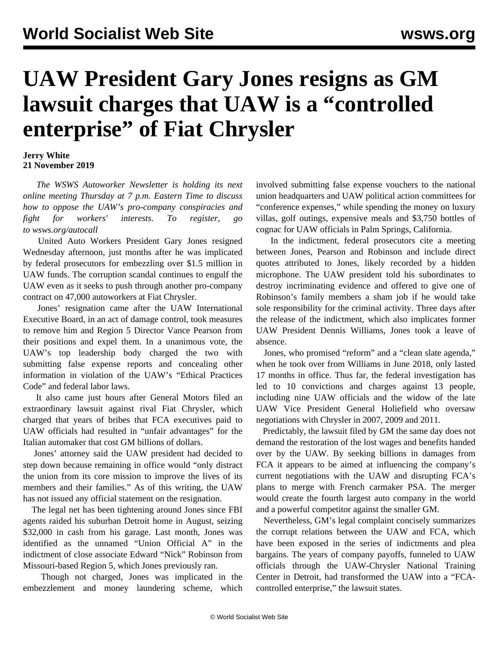## **UAW President Gary Jones resigns as GM lawsuit charges that UAW is a "controlled enterprise" of Fiat Chrysler**

## **Jerry White 21 November 2019**

 *The WSWS Autoworker Newsletter is holding its next online meeting Thursday at 7 p.m. Eastern Time to discuss how to oppose the UAW's pro-company conspiracies and fight for workers' interests. To register, go to [wsws.org/autocall](/autocall)*

 United Auto Workers President Gary Jones resigned Wednesday afternoon, just months after he was implicated by federal prosecutors for embezzling over \$1.5 million in UAW funds. The corruption scandal continues to engulf the UAW even as it seeks to push through another pro-company contract on 47,000 autoworkers at Fiat Chrysler.

 Jones' resignation came after the UAW International Executive Board, in an act of damage control, took measures to remove him and Region 5 Director Vance Pearson from their positions and expel them. In a unanimous vote, the UAW's top leadership body charged the two with submitting false expense reports and concealing other information in violation of the UAW's "Ethical Practices Code" and federal labor laws.

 It also came just hours after General Motors filed an extraordinary lawsuit against rival Fiat Chrysler, which charged that years of bribes that FCA executives paid to UAW officials had resulted in "unfair advantages" for the Italian automaker that cost GM billions of dollars.

 Jones' attorney said the UAW president had decided to step down because remaining in office would "only distract the union from its core mission to improve the lives of its members and their families." As of this writing, the UAW has not issued any official statement on the resignation.

 The legal net has been tightening around Jones since FBI agents raided his suburban Detroit home in August, seizing \$32,000 in cash from his garage. Last month, Jones was identified as the unnamed "Union Official A" in the indictment of close associate Edward "Nick" Robinson from Missouri-based Region 5, which Jones previously ran.

 Though not charged, Jones was implicated in the embezzlement and money laundering scheme, which involved submitting false expense vouchers to the national union headquarters and UAW political action committees for "conference expenses," while spending the money on luxury villas, golf outings, expensive meals and \$3,750 bottles of cognac for UAW officials in Palm Springs, California.

 In the indictment, federal prosecutors cite a meeting between Jones, Pearson and Robinson and include direct quotes attributed to Jones, likely recorded by a hidden microphone. The UAW president told his subordinates to destroy incriminating evidence and offered to give one of Robinson's family members a sham job if he would take sole responsibility for the criminal activity. Three days after the release of the indictment, which also implicates former UAW President Dennis Williams, Jones took a leave of absence.

 Jones, who promised "reform" and a "clean slate agenda," when he took over from Williams in June 2018, only lasted 17 months in office. Thus far, the federal investigation has led to 10 convictions and charges against 13 people, including nine UAW officials and the widow of the late UAW Vice President General Holiefield who oversaw negotiations with Chrysler in 2007, 2009 and 2011.

 Predictably, the lawsuit filed by GM the same day does not demand the restoration of the lost wages and benefits handed over by the UAW. By seeking billions in damages from FCA it appears to be aimed at influencing the company's current negotiations with the UAW and disrupting FCA's plans to merge with French carmaker PSA. The merger would create the fourth largest auto company in the world and a powerful competitor against the smaller GM.

 Nevertheless, GM's legal complaint concisely summarizes the corrupt relations between the UAW and FCA, which have been exposed in the series of indictments and plea bargains. The years of company payoffs, funneled to UAW officials through the UAW-Chrysler National Training Center in Detroit, had transformed the UAW into a "FCAcontrolled enterprise," the lawsuit states.